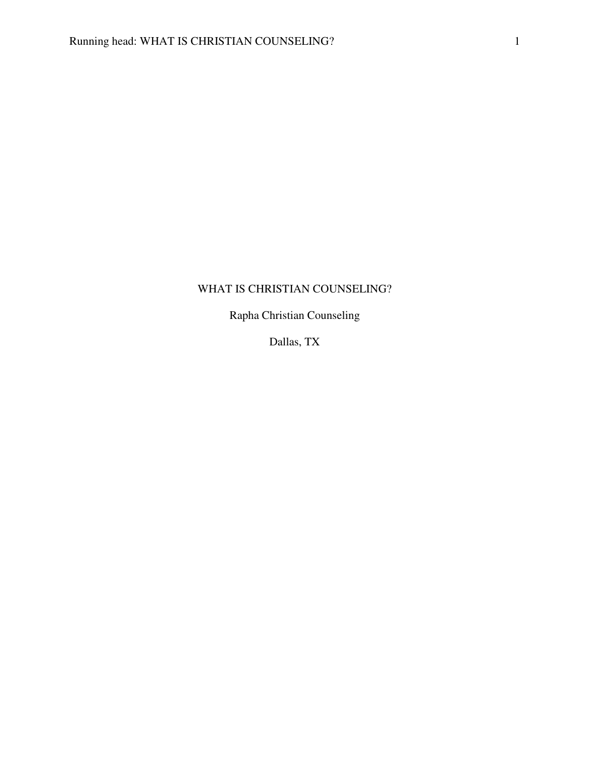# WHAT IS CHRISTIAN COUNSELING?

Rapha Christian Counseling

Dallas, TX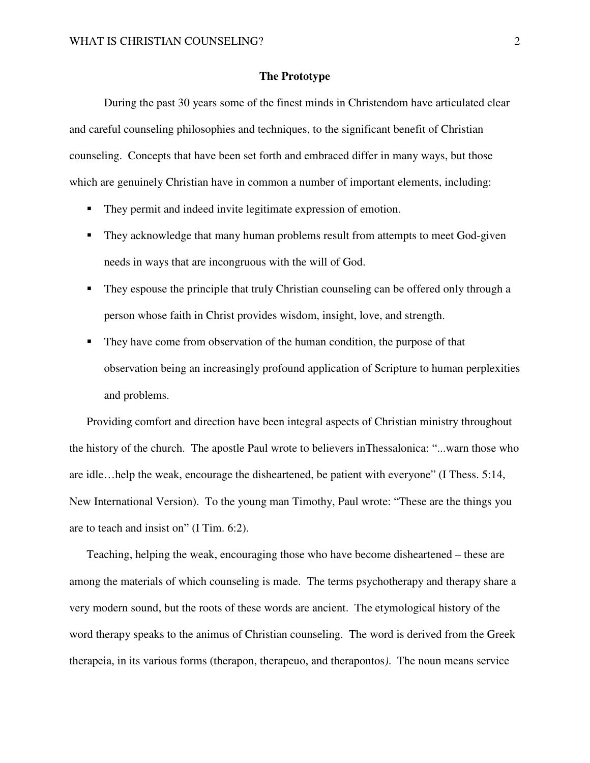## **The Prototype**

 During the past 30 years some of the finest minds in Christendom have articulated clear and careful counseling philosophies and techniques, to the significant benefit of Christian counseling. Concepts that have been set forth and embraced differ in many ways, but those which are genuinely Christian have in common a number of important elements, including:

- They permit and indeed invite legitimate expression of emotion.
- **They acknowledge that many human problems result from attempts to meet God-given** needs in ways that are incongruous with the will of God.
- They espouse the principle that truly Christian counseling can be offered only through a person whose faith in Christ provides wisdom, insight, love, and strength.
- They have come from observation of the human condition, the purpose of that observation being an increasingly profound application of Scripture to human perplexities and problems.

Providing comfort and direction have been integral aspects of Christian ministry throughout the history of the church. The apostle Paul wrote to believers inThessalonica: "...warn those who are idle…help the weak, encourage the disheartened, be patient with everyone" (I Thess. 5:14, New International Version). To the young man Timothy, Paul wrote: "These are the things you are to teach and insist on" (I Tim. 6:2).

Teaching, helping the weak, encouraging those who have become disheartened – these are among the materials of which counseling is made. The terms psychotherapy and therapy share a very modern sound, but the roots of these words are ancient. The etymological history of the word therapy speaks to the animus of Christian counseling. The word is derived from the Greek therapeia, in its various forms (therapon, therapeuo, and therapontos*)*. The noun means service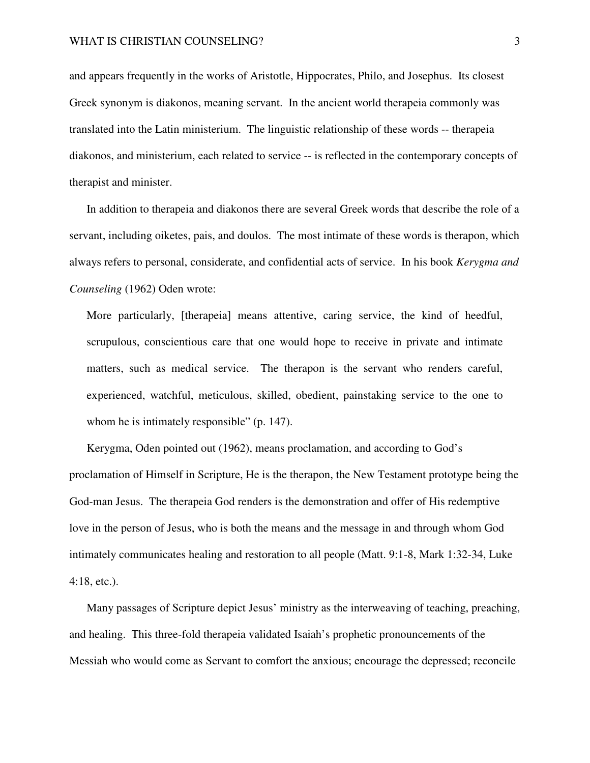and appears frequently in the works of Aristotle, Hippocrates, Philo, and Josephus. Its closest Greek synonym is diakonos, meaning servant. In the ancient world therapeia commonly was translated into the Latin ministerium. The linguistic relationship of these words -- therapeia diakonos, and ministerium, each related to service -- is reflected in the contemporary concepts of therapist and minister.

In addition to therapeia and diakonos there are several Greek words that describe the role of a servant, including oiketes, pais, and doulos. The most intimate of these words is therapon, which always refers to personal, considerate, and confidential acts of service. In his book *Kerygma and Counseling* (1962) Oden wrote:

More particularly, [therapeia] means attentive, caring service, the kind of heedful, scrupulous, conscientious care that one would hope to receive in private and intimate matters, such as medical service. The therapon is the servant who renders careful, experienced, watchful, meticulous, skilled, obedient, painstaking service to the one to whom he is intimately responsible" (p. 147).

Kerygma, Oden pointed out (1962), means proclamation, and according to God's proclamation of Himself in Scripture, He is the therapon, the New Testament prototype being the God-man Jesus. The therapeia God renders is the demonstration and offer of His redemptive love in the person of Jesus, who is both the means and the message in and through whom God intimately communicates healing and restoration to all people (Matt. 9:1-8, Mark 1:32-34, Luke 4:18, etc.).

Many passages of Scripture depict Jesus' ministry as the interweaving of teaching, preaching, and healing. This three-fold therapeia validated Isaiah's prophetic pronouncements of the Messiah who would come as Servant to comfort the anxious; encourage the depressed; reconcile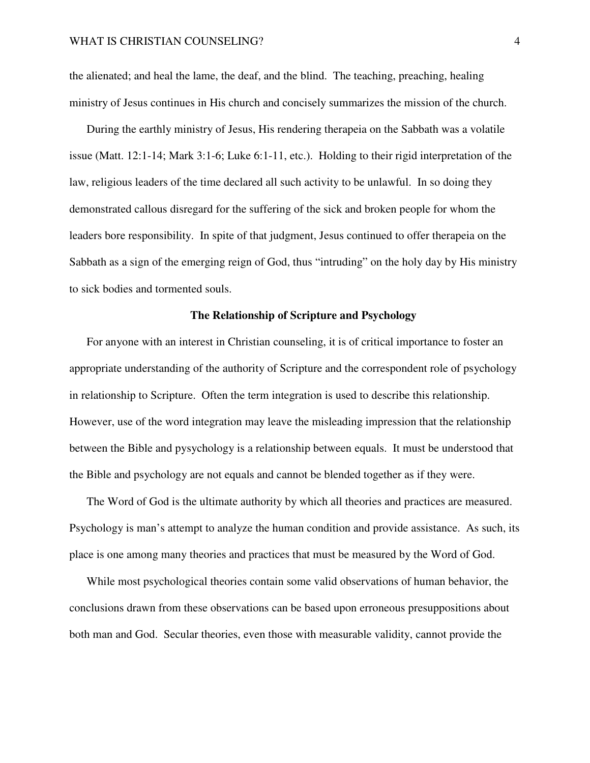the alienated; and heal the lame, the deaf, and the blind. The teaching, preaching, healing ministry of Jesus continues in His church and concisely summarizes the mission of the church.

During the earthly ministry of Jesus, His rendering therapeia on the Sabbath was a volatile issue (Matt. 12:1-14; Mark 3:1-6; Luke 6:1-11, etc.). Holding to their rigid interpretation of the law, religious leaders of the time declared all such activity to be unlawful. In so doing they demonstrated callous disregard for the suffering of the sick and broken people for whom the leaders bore responsibility. In spite of that judgment, Jesus continued to offer therapeia on the Sabbath as a sign of the emerging reign of God, thus "intruding" on the holy day by His ministry to sick bodies and tormented souls.

# **The Relationship of Scripture and Psychology**

For anyone with an interest in Christian counseling, it is of critical importance to foster an appropriate understanding of the authority of Scripture and the correspondent role of psychology in relationship to Scripture. Often the term integration is used to describe this relationship. However, use of the word integration may leave the misleading impression that the relationship between the Bible and pysychology is a relationship between equals. It must be understood that the Bible and psychology are not equals and cannot be blended together as if they were.

The Word of God is the ultimate authority by which all theories and practices are measured. Psychology is man's attempt to analyze the human condition and provide assistance. As such, its place is one among many theories and practices that must be measured by the Word of God.

While most psychological theories contain some valid observations of human behavior, the conclusions drawn from these observations can be based upon erroneous presuppositions about both man and God. Secular theories, even those with measurable validity, cannot provide the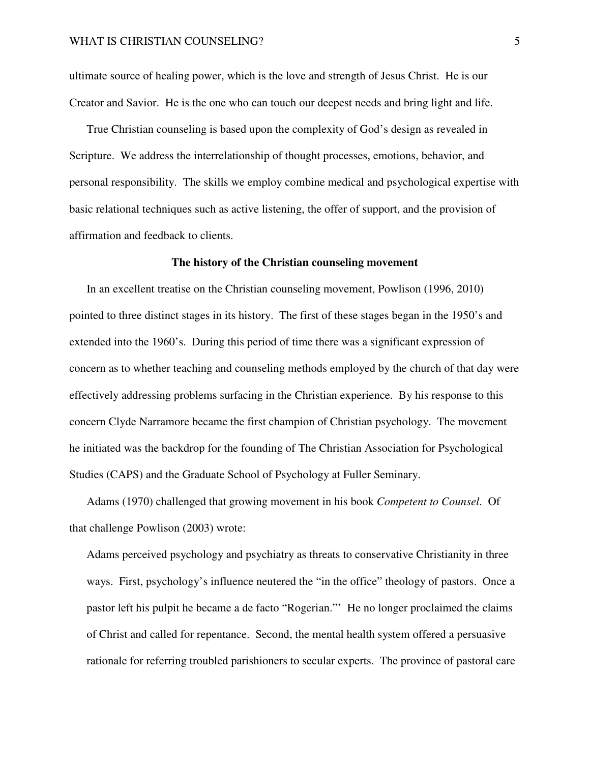ultimate source of healing power, which is the love and strength of Jesus Christ. He is our Creator and Savior. He is the one who can touch our deepest needs and bring light and life.

True Christian counseling is based upon the complexity of God's design as revealed in Scripture. We address the interrelationship of thought processes, emotions, behavior, and personal responsibility. The skills we employ combine medical and psychological expertise with basic relational techniques such as active listening, the offer of support, and the provision of affirmation and feedback to clients.

#### **The history of the Christian counseling movement**

In an excellent treatise on the Christian counseling movement, Powlison (1996, 2010) pointed to three distinct stages in its history. The first of these stages began in the 1950's and extended into the 1960's. During this period of time there was a significant expression of concern as to whether teaching and counseling methods employed by the church of that day were effectively addressing problems surfacing in the Christian experience. By his response to this concern Clyde Narramore became the first champion of Christian psychology. The movement he initiated was the backdrop for the founding of The Christian Association for Psychological Studies (CAPS) and the Graduate School of Psychology at Fuller Seminary.

Adams (1970) challenged that growing movement in his book *Competent to Counsel*. Of that challenge Powlison (2003) wrote:

Adams perceived psychology and psychiatry as threats to conservative Christianity in three ways. First, psychology's influence neutered the "in the office" theology of pastors. Once a pastor left his pulpit he became a de facto "Rogerian."' He no longer proclaimed the claims of Christ and called for repentance. Second, the mental health system offered a persuasive rationale for referring troubled parishioners to secular experts. The province of pastoral care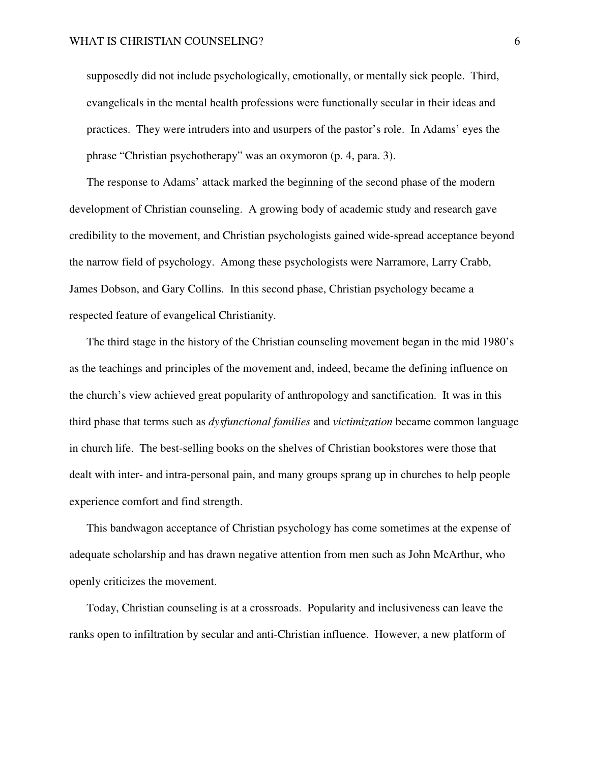supposedly did not include psychologically, emotionally, or mentally sick people. Third, evangelicals in the mental health professions were functionally secular in their ideas and practices. They were intruders into and usurpers of the pastor's role. In Adams' eyes the phrase "Christian psychotherapy" was an oxymoron (p. 4, para. 3).

The response to Adams' attack marked the beginning of the second phase of the modern development of Christian counseling. A growing body of academic study and research gave credibility to the movement, and Christian psychologists gained wide-spread acceptance beyond the narrow field of psychology. Among these psychologists were Narramore, Larry Crabb, James Dobson, and Gary Collins. In this second phase, Christian psychology became a respected feature of evangelical Christianity.

The third stage in the history of the Christian counseling movement began in the mid 1980's as the teachings and principles of the movement and, indeed, became the defining influence on the church's view achieved great popularity of anthropology and sanctification. It was in this third phase that terms such as *dysfunctional families* and *victimization* became common language in church life. The best-selling books on the shelves of Christian bookstores were those that dealt with inter- and intra-personal pain, and many groups sprang up in churches to help people experience comfort and find strength.

This bandwagon acceptance of Christian psychology has come sometimes at the expense of adequate scholarship and has drawn negative attention from men such as John McArthur, who openly criticizes the movement.

Today, Christian counseling is at a crossroads. Popularity and inclusiveness can leave the ranks open to infiltration by secular and anti-Christian influence. However, a new platform of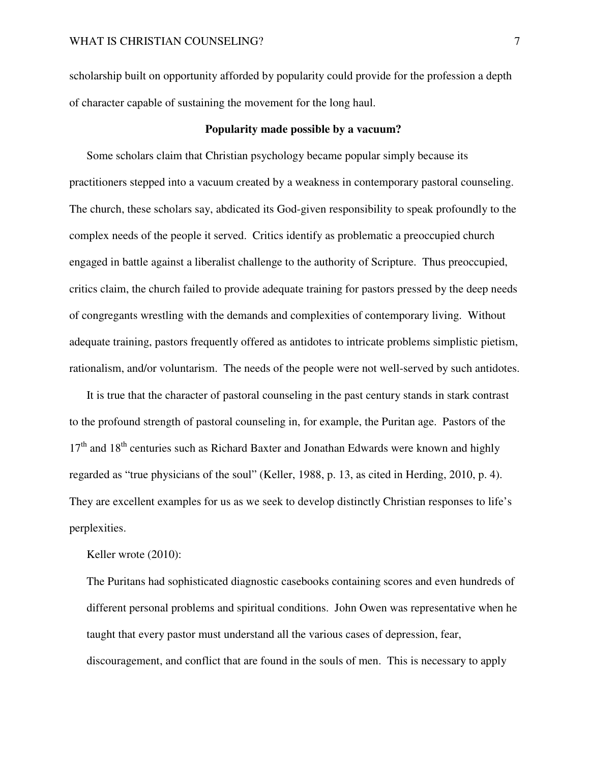scholarship built on opportunity afforded by popularity could provide for the profession a depth of character capable of sustaining the movement for the long haul.

## **Popularity made possible by a vacuum?**

Some scholars claim that Christian psychology became popular simply because its practitioners stepped into a vacuum created by a weakness in contemporary pastoral counseling. The church, these scholars say, abdicated its God-given responsibility to speak profoundly to the complex needs of the people it served. Critics identify as problematic a preoccupied church engaged in battle against a liberalist challenge to the authority of Scripture. Thus preoccupied, critics claim, the church failed to provide adequate training for pastors pressed by the deep needs of congregants wrestling with the demands and complexities of contemporary living. Without adequate training, pastors frequently offered as antidotes to intricate problems simplistic pietism, rationalism, and/or voluntarism. The needs of the people were not well-served by such antidotes.

It is true that the character of pastoral counseling in the past century stands in stark contrast to the profound strength of pastoral counseling in, for example, the Puritan age. Pastors of the  $17<sup>th</sup>$  and  $18<sup>th</sup>$  centuries such as Richard Baxter and Jonathan Edwards were known and highly regarded as "true physicians of the soul" (Keller, 1988, p. 13, as cited in Herding, 2010, p. 4). They are excellent examples for us as we seek to develop distinctly Christian responses to life's perplexities.

Keller wrote (2010):

The Puritans had sophisticated diagnostic casebooks containing scores and even hundreds of different personal problems and spiritual conditions. John Owen was representative when he taught that every pastor must understand all the various cases of depression, fear, discouragement, and conflict that are found in the souls of men. This is necessary to apply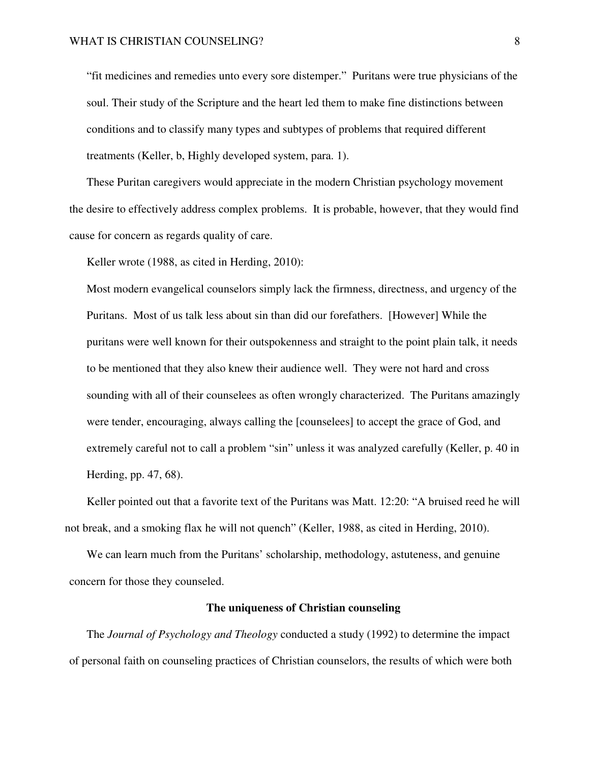"fit medicines and remedies unto every sore distemper." Puritans were true physicians of the soul. Their study of the Scripture and the heart led them to make fine distinctions between conditions and to classify many types and subtypes of problems that required different treatments (Keller, b, Highly developed system, para. 1).

These Puritan caregivers would appreciate in the modern Christian psychology movement the desire to effectively address complex problems. It is probable, however, that they would find cause for concern as regards quality of care.

Keller wrote (1988, as cited in Herding, 2010):

Most modern evangelical counselors simply lack the firmness, directness, and urgency of the Puritans. Most of us talk less about sin than did our forefathers. [However] While the puritans were well known for their outspokenness and straight to the point plain talk, it needs to be mentioned that they also knew their audience well. They were not hard and cross sounding with all of their counselees as often wrongly characterized. The Puritans amazingly were tender, encouraging, always calling the [counselees] to accept the grace of God, and extremely careful not to call a problem "sin" unless it was analyzed carefully (Keller, p. 40 in Herding, pp. 47, 68).

Keller pointed out that a favorite text of the Puritans was Matt. 12:20: "A bruised reed he will not break, and a smoking flax he will not quench" (Keller, 1988, as cited in Herding, 2010).

We can learn much from the Puritans' scholarship, methodology, astuteness, and genuine concern for those they counseled.

# **The uniqueness of Christian counseling**

The *Journal of Psychology and Theology* conducted a study (1992) to determine the impact of personal faith on counseling practices of Christian counselors, the results of which were both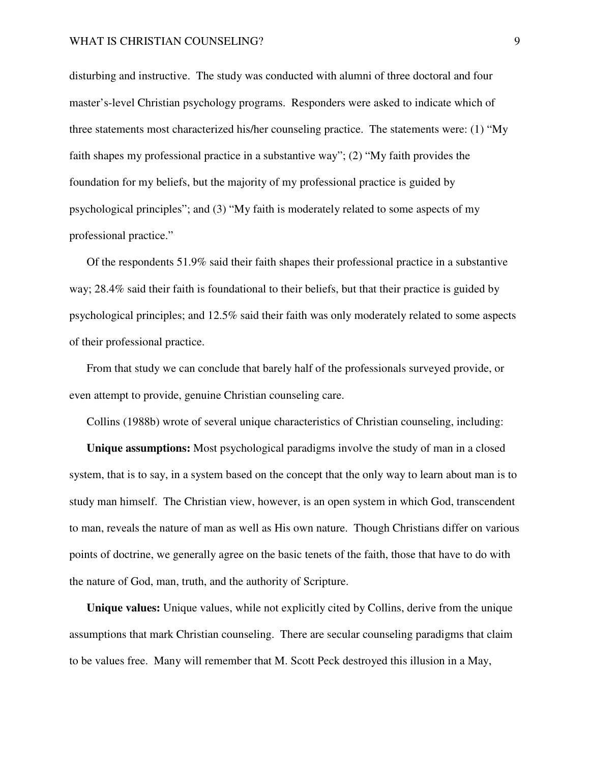disturbing and instructive. The study was conducted with alumni of three doctoral and four master's-level Christian psychology programs. Responders were asked to indicate which of three statements most characterized his/her counseling practice. The statements were: (1) "My faith shapes my professional practice in a substantive way"; (2) "My faith provides the foundation for my beliefs, but the majority of my professional practice is guided by psychological principles"; and (3) "My faith is moderately related to some aspects of my professional practice."

Of the respondents 51.9% said their faith shapes their professional practice in a substantive way; 28.4% said their faith is foundational to their beliefs, but that their practice is guided by psychological principles; and 12.5% said their faith was only moderately related to some aspects of their professional practice.

From that study we can conclude that barely half of the professionals surveyed provide, or even attempt to provide, genuine Christian counseling care.

Collins (1988b) wrote of several unique characteristics of Christian counseling, including:

**Unique assumptions:** Most psychological paradigms involve the study of man in a closed system, that is to say, in a system based on the concept that the only way to learn about man is to study man himself. The Christian view, however, is an open system in which God, transcendent to man, reveals the nature of man as well as His own nature. Though Christians differ on various points of doctrine, we generally agree on the basic tenets of the faith, those that have to do with the nature of God, man, truth, and the authority of Scripture.

**Unique values:** Unique values, while not explicitly cited by Collins, derive from the unique assumptions that mark Christian counseling. There are secular counseling paradigms that claim to be values free. Many will remember that M. Scott Peck destroyed this illusion in a May,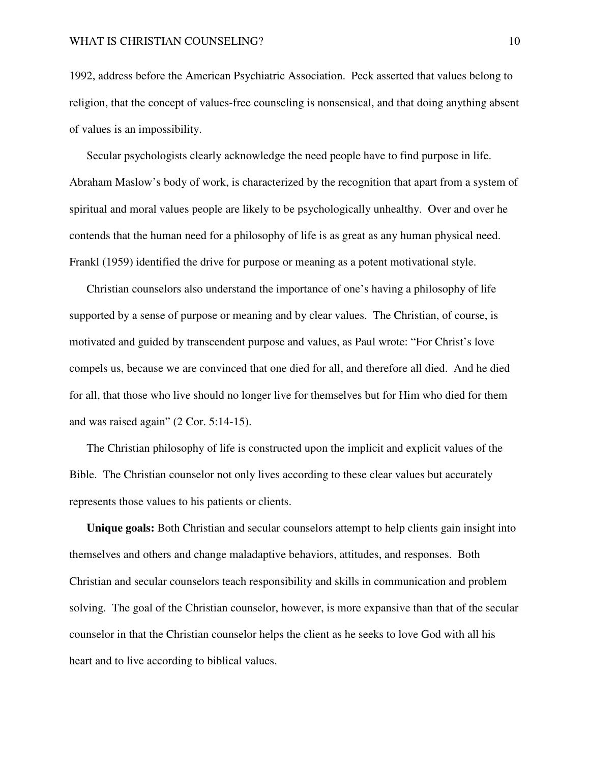1992, address before the American Psychiatric Association. Peck asserted that values belong to religion, that the concept of values-free counseling is nonsensical, and that doing anything absent of values is an impossibility.

Secular psychologists clearly acknowledge the need people have to find purpose in life. Abraham Maslow's body of work, is characterized by the recognition that apart from a system of spiritual and moral values people are likely to be psychologically unhealthy. Over and over he contends that the human need for a philosophy of life is as great as any human physical need. Frankl (1959) identified the drive for purpose or meaning as a potent motivational style.

Christian counselors also understand the importance of one's having a philosophy of life supported by a sense of purpose or meaning and by clear values. The Christian, of course, is motivated and guided by transcendent purpose and values, as Paul wrote: "For Christ's love compels us, because we are convinced that one died for all, and therefore all died. And he died for all, that those who live should no longer live for themselves but for Him who died for them and was raised again" (2 Cor. 5:14-15).

The Christian philosophy of life is constructed upon the implicit and explicit values of the Bible. The Christian counselor not only lives according to these clear values but accurately represents those values to his patients or clients.

**Unique goals:** Both Christian and secular counselors attempt to help clients gain insight into themselves and others and change maladaptive behaviors, attitudes, and responses. Both Christian and secular counselors teach responsibility and skills in communication and problem solving. The goal of the Christian counselor, however, is more expansive than that of the secular counselor in that the Christian counselor helps the client as he seeks to love God with all his heart and to live according to biblical values.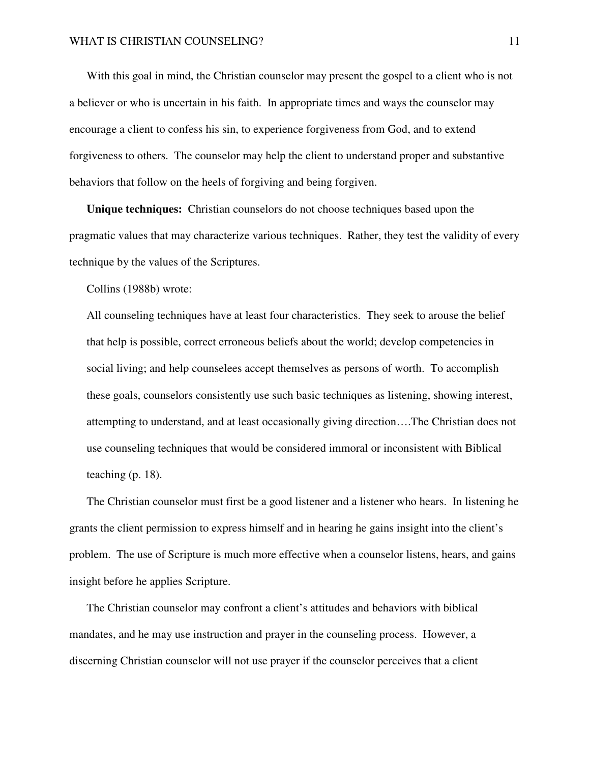With this goal in mind, the Christian counselor may present the gospel to a client who is not a believer or who is uncertain in his faith. In appropriate times and ways the counselor may encourage a client to confess his sin, to experience forgiveness from God, and to extend forgiveness to others. The counselor may help the client to understand proper and substantive behaviors that follow on the heels of forgiving and being forgiven.

**Unique techniques:** Christian counselors do not choose techniques based upon the pragmatic values that may characterize various techniques. Rather, they test the validity of every technique by the values of the Scriptures.

Collins (1988b) wrote:

All counseling techniques have at least four characteristics. They seek to arouse the belief that help is possible, correct erroneous beliefs about the world; develop competencies in social living; and help counselees accept themselves as persons of worth. To accomplish these goals, counselors consistently use such basic techniques as listening, showing interest, attempting to understand, and at least occasionally giving direction….The Christian does not use counseling techniques that would be considered immoral or inconsistent with Biblical teaching (p. 18).

The Christian counselor must first be a good listener and a listener who hears. In listening he grants the client permission to express himself and in hearing he gains insight into the client's problem. The use of Scripture is much more effective when a counselor listens, hears, and gains insight before he applies Scripture.

The Christian counselor may confront a client's attitudes and behaviors with biblical mandates, and he may use instruction and prayer in the counseling process. However, a discerning Christian counselor will not use prayer if the counselor perceives that a client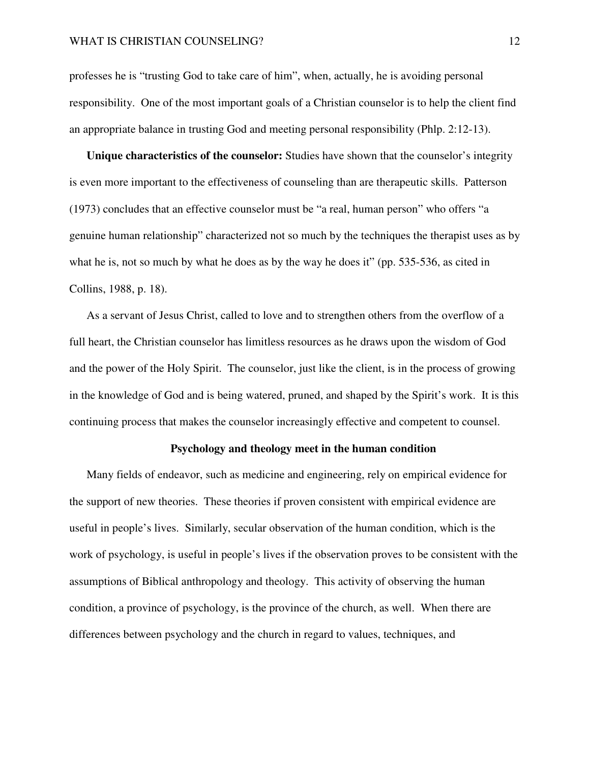professes he is "trusting God to take care of him", when, actually, he is avoiding personal responsibility. One of the most important goals of a Christian counselor is to help the client find an appropriate balance in trusting God and meeting personal responsibility (Phlp. 2:12-13).

**Unique characteristics of the counselor:** Studies have shown that the counselor's integrity is even more important to the effectiveness of counseling than are therapeutic skills. Patterson (1973) concludes that an effective counselor must be "a real, human person" who offers "a genuine human relationship" characterized not so much by the techniques the therapist uses as by what he is, not so much by what he does as by the way he does it" (pp. 535-536, as cited in Collins, 1988, p. 18).

As a servant of Jesus Christ, called to love and to strengthen others from the overflow of a full heart, the Christian counselor has limitless resources as he draws upon the wisdom of God and the power of the Holy Spirit. The counselor, just like the client, is in the process of growing in the knowledge of God and is being watered, pruned, and shaped by the Spirit's work. It is this continuing process that makes the counselor increasingly effective and competent to counsel.

#### **Psychology and theology meet in the human condition**

Many fields of endeavor, such as medicine and engineering, rely on empirical evidence for the support of new theories. These theories if proven consistent with empirical evidence are useful in people's lives. Similarly, secular observation of the human condition, which is the work of psychology, is useful in people's lives if the observation proves to be consistent with the assumptions of Biblical anthropology and theology. This activity of observing the human condition, a province of psychology, is the province of the church, as well. When there are differences between psychology and the church in regard to values, techniques, and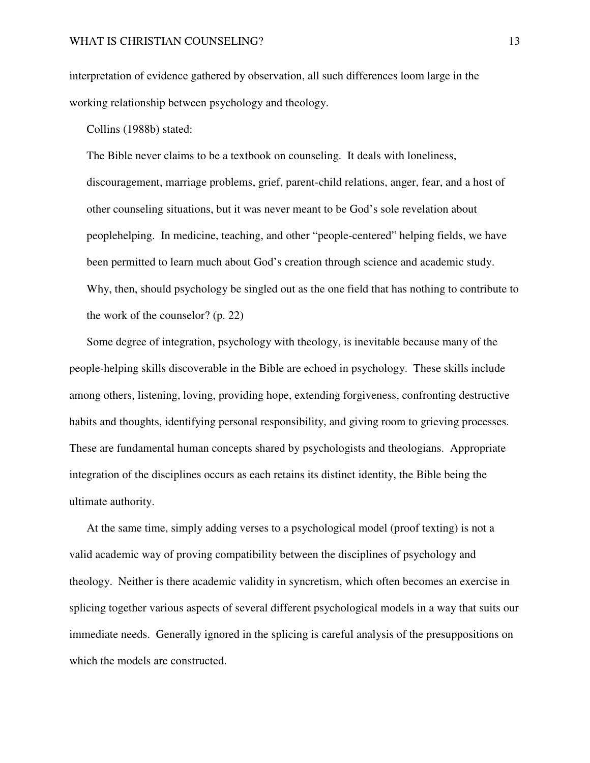interpretation of evidence gathered by observation, all such differences loom large in the working relationship between psychology and theology.

Collins (1988b) stated:

The Bible never claims to be a textbook on counseling. It deals with loneliness, discouragement, marriage problems, grief, parent-child relations, anger, fear, and a host of other counseling situations, but it was never meant to be God's sole revelation about peoplehelping. In medicine, teaching, and other "people-centered" helping fields, we have been permitted to learn much about God's creation through science and academic study. Why, then, should psychology be singled out as the one field that has nothing to contribute to the work of the counselor? (p. 22)

Some degree of integration, psychology with theology, is inevitable because many of the people-helping skills discoverable in the Bible are echoed in psychology. These skills include among others, listening, loving, providing hope, extending forgiveness, confronting destructive habits and thoughts, identifying personal responsibility, and giving room to grieving processes. These are fundamental human concepts shared by psychologists and theologians. Appropriate integration of the disciplines occurs as each retains its distinct identity, the Bible being the ultimate authority.

At the same time, simply adding verses to a psychological model (proof texting) is not a valid academic way of proving compatibility between the disciplines of psychology and theology. Neither is there academic validity in syncretism, which often becomes an exercise in splicing together various aspects of several different psychological models in a way that suits our immediate needs. Generally ignored in the splicing is careful analysis of the presuppositions on which the models are constructed.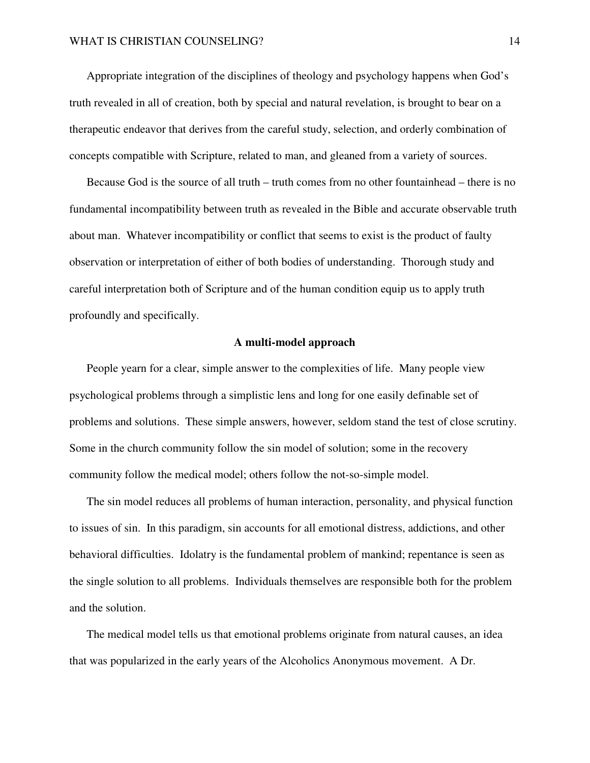Appropriate integration of the disciplines of theology and psychology happens when God's truth revealed in all of creation, both by special and natural revelation, is brought to bear on a therapeutic endeavor that derives from the careful study, selection, and orderly combination of concepts compatible with Scripture, related to man, and gleaned from a variety of sources.

Because God is the source of all truth – truth comes from no other fountainhead – there is no fundamental incompatibility between truth as revealed in the Bible and accurate observable truth about man. Whatever incompatibility or conflict that seems to exist is the product of faulty observation or interpretation of either of both bodies of understanding. Thorough study and careful interpretation both of Scripture and of the human condition equip us to apply truth profoundly and specifically.

## **A multi-model approach**

People yearn for a clear, simple answer to the complexities of life. Many people view psychological problems through a simplistic lens and long for one easily definable set of problems and solutions. These simple answers, however, seldom stand the test of close scrutiny. Some in the church community follow the sin model of solution; some in the recovery community follow the medical model; others follow the not-so-simple model.

The sin model reduces all problems of human interaction, personality, and physical function to issues of sin. In this paradigm, sin accounts for all emotional distress, addictions, and other behavioral difficulties. Idolatry is the fundamental problem of mankind; repentance is seen as the single solution to all problems. Individuals themselves are responsible both for the problem and the solution.

The medical model tells us that emotional problems originate from natural causes, an idea that was popularized in the early years of the Alcoholics Anonymous movement. A Dr.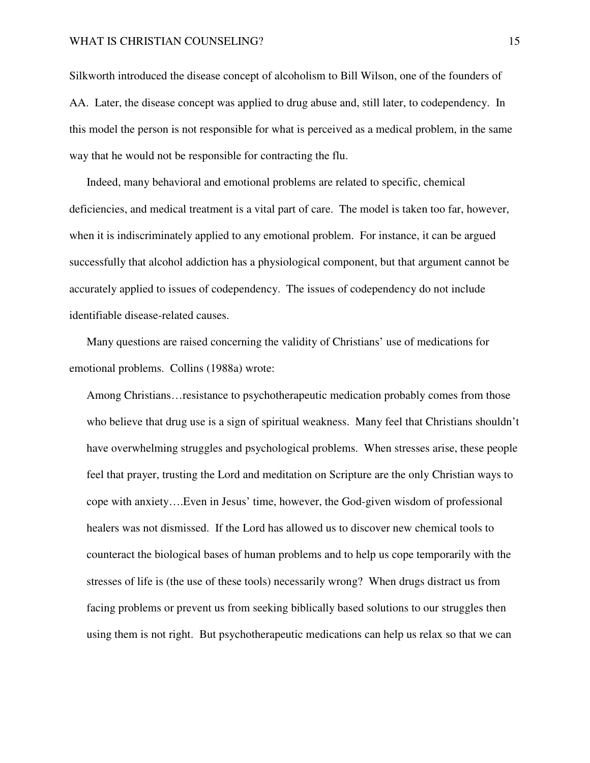Silkworth introduced the disease concept of alcoholism to Bill Wilson, one of the founders of AA. Later, the disease concept was applied to drug abuse and, still later, to codependency. In this model the person is not responsible for what is perceived as a medical problem, in the same way that he would not be responsible for contracting the flu.

Indeed, many behavioral and emotional problems are related to specific, chemical deficiencies, and medical treatment is a vital part of care. The model is taken too far, however, when it is indiscriminately applied to any emotional problem. For instance, it can be argued successfully that alcohol addiction has a physiological component, but that argument cannot be accurately applied to issues of codependency. The issues of codependency do not include identifiable disease-related causes.

Many questions are raised concerning the validity of Christians' use of medications for emotional problems. Collins (1988a) wrote:

Among Christians…resistance to psychotherapeutic medication probably comes from those who believe that drug use is a sign of spiritual weakness. Many feel that Christians shouldn't have overwhelming struggles and psychological problems. When stresses arise, these people feel that prayer, trusting the Lord and meditation on Scripture are the only Christian ways to cope with anxiety….Even in Jesus' time, however, the God-given wisdom of professional healers was not dismissed. If the Lord has allowed us to discover new chemical tools to counteract the biological bases of human problems and to help us cope temporarily with the stresses of life is (the use of these tools) necessarily wrong? When drugs distract us from facing problems or prevent us from seeking biblically based solutions to our struggles then using them is not right. But psychotherapeutic medications can help us relax so that we can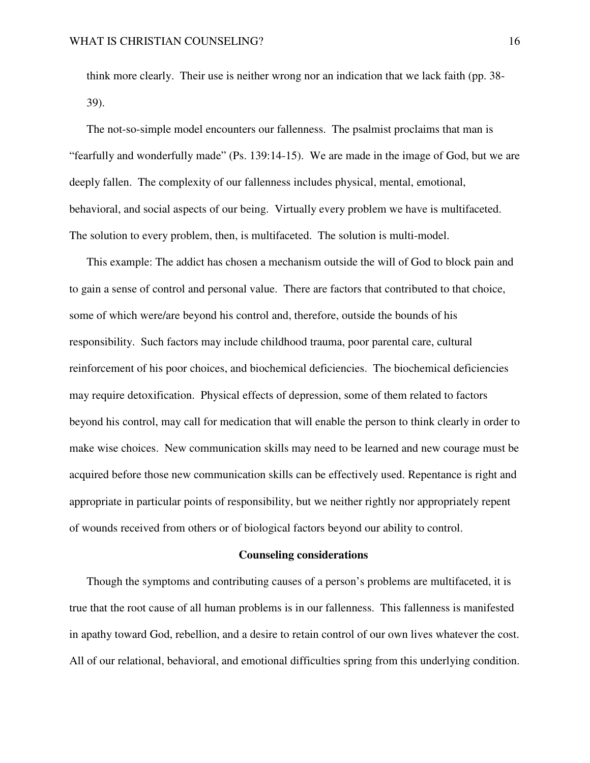think more clearly. Their use is neither wrong nor an indication that we lack faith (pp. 38- 39).

The not-so-simple model encounters our fallenness. The psalmist proclaims that man is "fearfully and wonderfully made" (Ps. 139:14-15). We are made in the image of God, but we are deeply fallen. The complexity of our fallenness includes physical, mental, emotional, behavioral, and social aspects of our being. Virtually every problem we have is multifaceted. The solution to every problem, then, is multifaceted. The solution is multi-model.

This example: The addict has chosen a mechanism outside the will of God to block pain and to gain a sense of control and personal value. There are factors that contributed to that choice, some of which were/are beyond his control and, therefore, outside the bounds of his responsibility. Such factors may include childhood trauma, poor parental care, cultural reinforcement of his poor choices, and biochemical deficiencies. The biochemical deficiencies may require detoxification. Physical effects of depression, some of them related to factors beyond his control, may call for medication that will enable the person to think clearly in order to make wise choices. New communication skills may need to be learned and new courage must be acquired before those new communication skills can be effectively used. Repentance is right and appropriate in particular points of responsibility, but we neither rightly nor appropriately repent of wounds received from others or of biological factors beyond our ability to control.

#### **Counseling considerations**

Though the symptoms and contributing causes of a person's problems are multifaceted, it is true that the root cause of all human problems is in our fallenness. This fallenness is manifested in apathy toward God, rebellion, and a desire to retain control of our own lives whatever the cost. All of our relational, behavioral, and emotional difficulties spring from this underlying condition.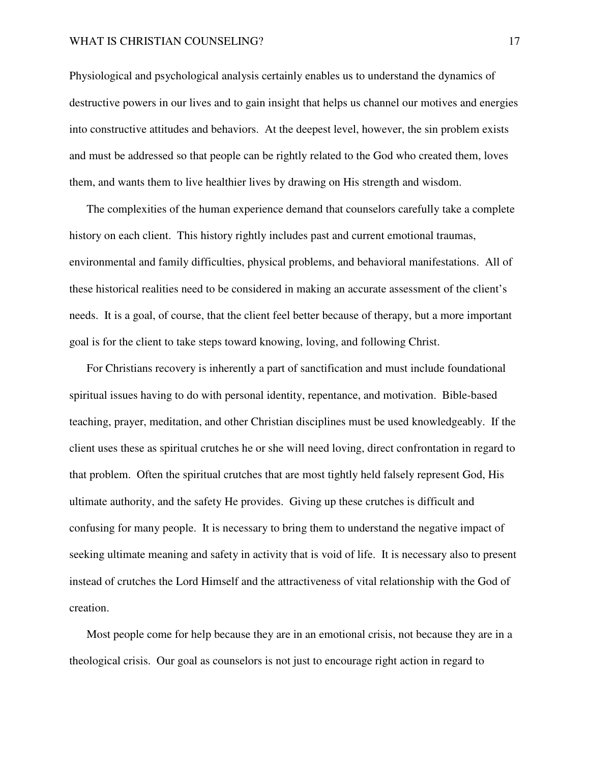#### WHAT IS CHRISTIAN COUNSELING? 17

Physiological and psychological analysis certainly enables us to understand the dynamics of destructive powers in our lives and to gain insight that helps us channel our motives and energies into constructive attitudes and behaviors. At the deepest level, however, the sin problem exists and must be addressed so that people can be rightly related to the God who created them, loves them, and wants them to live healthier lives by drawing on His strength and wisdom.

The complexities of the human experience demand that counselors carefully take a complete history on each client. This history rightly includes past and current emotional traumas, environmental and family difficulties, physical problems, and behavioral manifestations. All of these historical realities need to be considered in making an accurate assessment of the client's needs. It is a goal, of course, that the client feel better because of therapy, but a more important goal is for the client to take steps toward knowing, loving, and following Christ.

For Christians recovery is inherently a part of sanctification and must include foundational spiritual issues having to do with personal identity, repentance, and motivation. Bible-based teaching, prayer, meditation, and other Christian disciplines must be used knowledgeably. If the client uses these as spiritual crutches he or she will need loving, direct confrontation in regard to that problem. Often the spiritual crutches that are most tightly held falsely represent God, His ultimate authority, and the safety He provides. Giving up these crutches is difficult and confusing for many people. It is necessary to bring them to understand the negative impact of seeking ultimate meaning and safety in activity that is void of life. It is necessary also to present instead of crutches the Lord Himself and the attractiveness of vital relationship with the God of creation.

Most people come for help because they are in an emotional crisis, not because they are in a theological crisis. Our goal as counselors is not just to encourage right action in regard to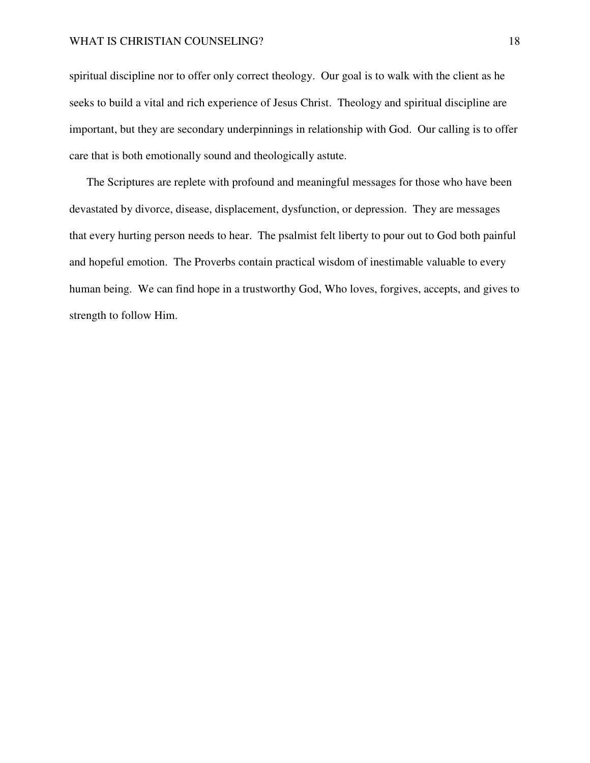spiritual discipline nor to offer only correct theology. Our goal is to walk with the client as he seeks to build a vital and rich experience of Jesus Christ. Theology and spiritual discipline are important, but they are secondary underpinnings in relationship with God. Our calling is to offer care that is both emotionally sound and theologically astute.

The Scriptures are replete with profound and meaningful messages for those who have been devastated by divorce, disease, displacement, dysfunction, or depression. They are messages that every hurting person needs to hear. The psalmist felt liberty to pour out to God both painful and hopeful emotion. The Proverbs contain practical wisdom of inestimable valuable to every human being. We can find hope in a trustworthy God, Who loves, forgives, accepts, and gives to strength to follow Him.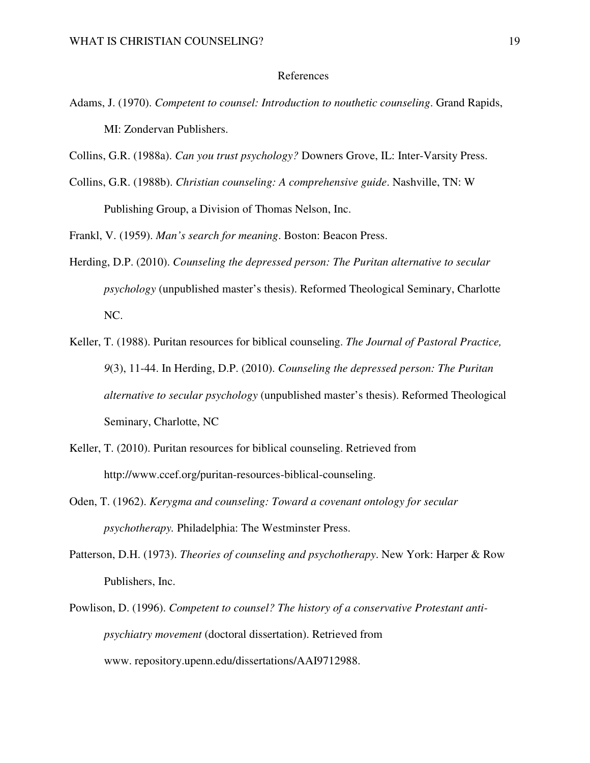# References

- Adams, J. (1970). *Competent to counsel: Introduction to nouthetic counseling*. Grand Rapids, MI: Zondervan Publishers.
- Collins, G.R. (1988a). *Can you trust psychology?* Downers Grove, IL: Inter-Varsity Press.
- Collins, G.R. (1988b). *Christian counseling: A comprehensive guide*. Nashville, TN: W Publishing Group, a Division of Thomas Nelson, Inc.

Frankl, V. (1959). *Man's search for meaning*. Boston: Beacon Press.

- Herding, D.P. (2010). *Counseling the depressed person: The Puritan alternative to secular psychology* (unpublished master's thesis). Reformed Theological Seminary, Charlotte NC.
- Keller, T. (1988). Puritan resources for biblical counseling. *The Journal of Pastoral Practice, 9*(3), 11-44. In Herding, D.P. (2010). *Counseling the depressed person: The Puritan alternative to secular psychology* (unpublished master's thesis). Reformed Theological Seminary, Charlotte, NC
- Keller, T. (2010). Puritan resources for biblical counseling. Retrieved from http://www.ccef.org/puritan-resources-biblical-counseling.
- Oden, T. (1962). *Kerygma and counseling: Toward a covenant ontology for secular psychotherapy.* Philadelphia: The Westminster Press.
- Patterson, D.H. (1973). *Theories of counseling and psychotherapy*. New York: Harper & Row Publishers, Inc.
- Powlison, D. (1996). *Competent to counsel? The history of a conservative Protestant antipsychiatry movement* (doctoral dissertation). Retrieved from www. repository.upenn.edu/dissertations/AAI9712988.